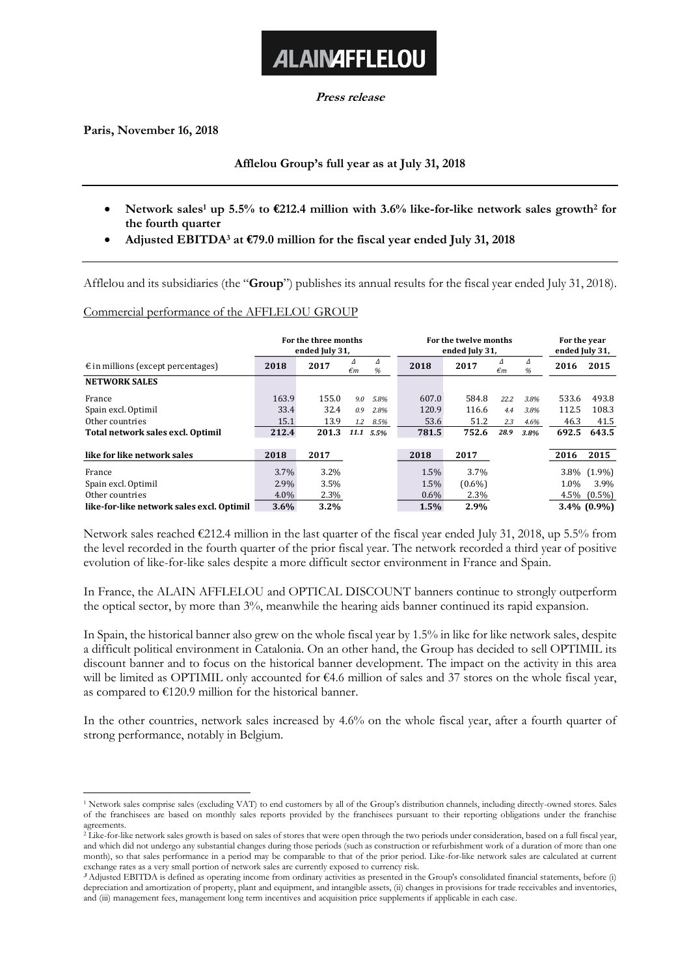**Press release**

**ALAINAFFLELOU** 

**Paris, November 16, 2018**

**Afflelou Group's full year as at July 31, 2018**

- **Network sales<sup>1</sup> up 5.5% to €212.4 million with 3.6% like-for-like network sales growth<sup>2</sup> for the fourth quarter**
- **Adjusted EBITDA<sup>3</sup> at €79.0 million for the fiscal year ended July 31, 2018**

Afflelou and its subsidiaries (the "**Group**") publishes its annual results for the fiscal year ended July 31, 2018).

### Commercial performance of the AFFLELOU GROUP

|                                             | For the three months<br>ended July 31, |       |         | For the twelve months<br>ended July 31, |         |           |                   | For the year<br>ended July 31, |       |                |
|---------------------------------------------|----------------------------------------|-------|---------|-----------------------------------------|---------|-----------|-------------------|--------------------------------|-------|----------------|
| $\epsilon$ in millions (except percentages) | 2018                                   | 2017  | Δ<br>€m | Δ<br>%                                  | 2018    | 2017      | Δ<br>$\epsilon$ m | Δ<br>%                         | 2016  | 2015           |
| <b>NETWORK SALES</b>                        |                                        |       |         |                                         |         |           |                   |                                |       |                |
| France                                      | 163.9                                  | 155.0 | 9.0     | 5.8%                                    | 607.0   | 584.8     | 22.2              | 3.8%                           | 533.6 | 493.8          |
| Spain excl. Optimil                         | 33.4                                   | 32.4  | 0.9     | 2.8%                                    | 120.9   | 116.6     | 4.4               | 3.8%                           | 112.5 | 108.3          |
| Other countries                             | 15.1                                   | 13.9  | 1.2     | 8.5%                                    | 53.6    | 51.2      | 2.3               | 4.6%                           | 46.3  | 41.5           |
| Total network sales excl. Optimil           | 212.4                                  | 201.3 | 11.1    | 5.5%                                    | 781.5   | 752.6     | 28.9              | 3.8%                           | 692.5 | 643.5          |
| like for like network sales                 | 2018                                   | 2017  |         |                                         | 2018    | 2017      |                   |                                | 2016  | 2015           |
| France                                      | $3.7\%$                                | 3.2%  |         |                                         | 1.5%    | 3.7%      |                   |                                | 3.8%  | $(1.9\%)$      |
| Spain excl. Optimil                         | 2.9%                                   | 3.5%  |         |                                         | 1.5%    | $(0.6\%)$ |                   |                                | 1.0%  | 3.9%           |
| Other countries                             | $4.0\%$                                | 2.3%  |         |                                         | $0.6\%$ | 2.3%      |                   |                                | 4.5%  | $(0.5\%)$      |
| like-for-like network sales excl. Optimil   | $3.6\%$                                | 3.2%  |         |                                         | 1.5%    | 2.9%      |                   |                                |       | $3.4\%$ (0.9%) |

Network sales reached €212.4 million in the last quarter of the fiscal year ended July 31, 2018, up 5.5% from the level recorded in the fourth quarter of the prior fiscal year. The network recorded a third year of positive evolution of like-for-like sales despite a more difficult sector environment in France and Spain.

In France, the ALAIN AFFLELOU and OPTICAL DISCOUNT banners continue to strongly outperform the optical sector, by more than 3%, meanwhile the hearing aids banner continued its rapid expansion.

In Spain, the historical banner also grew on the whole fiscal year by 1.5% in like for like network sales, despite a difficult political environment in Catalonia. On an other hand, the Group has decided to sell OPTIMIL its discount banner and to focus on the historical banner development. The impact on the activity in this area will be limited as OPTIMIL only accounted for €4.6 million of sales and 37 stores on the whole fiscal year, as compared to  $E120.9$  million for the historical banner.

In the other countries, network sales increased by 4.6% on the whole fiscal year, after a fourth quarter of strong performance, notably in Belgium.

<sup>1</sup> <sup>1</sup> Network sales comprise sales (excluding VAT) to end customers by all of the Group's distribution channels, including directly-owned stores. Sales of the franchisees are based on monthly sales reports provided by the franchisees pursuant to their reporting obligations under the franchise agreements.

<sup>&</sup>lt;sup>2</sup> Like-for-like network sales growth is based on sales of stores that were open through the two periods under consideration, based on a full fiscal year, and which did not undergo any substantial changes during those periods (such as construction or refurbishment work of a duration of more than one month), so that sales performance in a period may be comparable to that of the prior period. Like-for-like network sales are calculated at current exchange rates as a very small portion of network sales are currently exposed to currency risk.

**<sup>3</sup>** Adjusted EBITDA is defined as operating income from ordinary activities as presented in the Group's consolidated financial statements, before (i) depreciation and amortization of property, plant and equipment, and intangible assets, (ii) changes in provisions for trade receivables and inventories, and (iii) management fees, management long term incentives and acquisition price supplements if applicable in each case.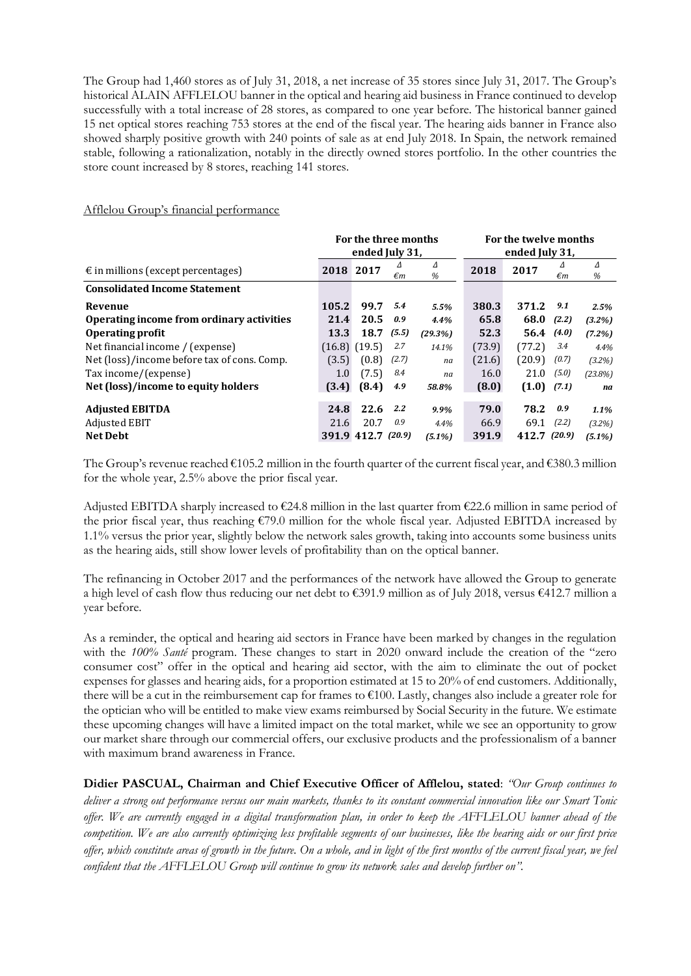The Group had 1,460 stores as of July 31, 2018, a net increase of 35 stores since July 31, 2017. The Group's historical ALAIN AFFLELOU banner in the optical and hearing aid business in France continued to develop successfully with a total increase of 28 stores, as compared to one year before. The historical banner gained 15 net optical stores reaching 753 stores at the end of the fiscal year. The hearing aids banner in France also showed sharply positive growth with 240 points of sale as at end July 2018. In Spain, the network remained stable, following a rationalization, notably in the directly owned stores portfolio. In the other countries the store count increased by 8 stores, reaching 141 stores.

|                                             | For the three months |                 |       |           | For the twelve months |                 |       |            |  |
|---------------------------------------------|----------------------|-----------------|-------|-----------|-----------------------|-----------------|-------|------------|--|
|                                             | ended July 31,       |                 |       |           | ended July 31,        |                 |       |            |  |
| $\epsilon$ in millions (except percentages) | 2018                 | 2017            | Δ     | Δ         | 2018                  | 2017            |       | Δ          |  |
|                                             |                      |                 | €m    | %         |                       |                 | €m    | %          |  |
| <b>Consolidated Income Statement</b>        |                      |                 |       |           |                       |                 |       |            |  |
| Revenue                                     | 105.2                | 99.7            | 5.4   | 5.5%      | 380.3                 | 371.2           | 9.1   | 2.5%       |  |
| Operating income from ordinary activities   | 21.4                 | 20.5            | 0.9   | 4.4%      | 65.8                  | 68.0            | (2.2) | $(3.2\%)$  |  |
| <b>Operating profit</b>                     | 13.3                 | 18.7            | (5.5) | (29.3%)   | 52.3                  | 56.4(4.0)       |       | $(7.2\%)$  |  |
| Net financial income / (expense)            |                      | $(16.8)$ (19.5) | 2.7   | 14.1%     | (73.9)                | (77.2)          | 3.4   | 4.4%       |  |
| Net (loss)/income before tax of cons. Comp. | (3.5)                | (0.8)           | (2.7) | na        | (21.6)                | (20.9)          | (0.7) | $(3.2\%)$  |  |
| Tax income/(expense)                        | 1.0                  | (7.5)           | 8.4   | na        | 16.0                  | 21.0            | (5.0) | $(23.8\%)$ |  |
| Net (loss)/income to equity holders         | (3.4)                | (8.4)           | 4.9   | 58.8%     | (8.0)                 | $(1.0)$ $(7.1)$ |       | na         |  |
| <b>Adjusted EBITDA</b>                      | 24.8                 | 22.6            | 2.2   | 9.9%      | 79.0                  | 78.2            | 0.9   | 1.1%       |  |
|                                             |                      |                 |       |           |                       |                 |       |            |  |
| Adjusted EBIT                               | 21.6                 | 20.7            | 0.9   | 4.4%      | 66.9                  | 69.1            | (2.2) | $(3.2\%)$  |  |
| <b>Net Debt</b>                             | 391.9                | 412.7 (20.9)    |       | $(5.1\%)$ | 391.9                 | 412.7 (20.9)    |       | $(5.1\%)$  |  |

# Afflelou Group's financial performance

The Group's revenue reached €105.2 million in the fourth quarter of the current fiscal year, and €380.3 million for the whole year, 2.5% above the prior fiscal year.

Adjusted EBITDA sharply increased to  $\epsilon$ 24.8 million in the last quarter from  $\epsilon$ 22.6 million in same period of the prior fiscal year, thus reaching €79.0 million for the whole fiscal year. Adjusted EBITDA increased by 1.1% versus the prior year, slightly below the network sales growth, taking into accounts some business units as the hearing aids, still show lower levels of profitability than on the optical banner.

The refinancing in October 2017 and the performances of the network have allowed the Group to generate a high level of cash flow thus reducing our net debt to €391.9 million as of July 2018, versus €412.7 million a year before.

As a reminder, the optical and hearing aid sectors in France have been marked by changes in the regulation with the *100% Santé* program. These changes to start in 2020 onward include the creation of the "zero consumer cost" offer in the optical and hearing aid sector, with the aim to eliminate the out of pocket expenses for glasses and hearing aids, for a proportion estimated at 15 to 20% of end customers. Additionally, there will be a cut in the reimbursement cap for frames to €100. Lastly, changes also include a greater role for the optician who will be entitled to make view exams reimbursed by Social Security in the future. We estimate these upcoming changes will have a limited impact on the total market, while we see an opportunity to grow our market share through our commercial offers, our exclusive products and the professionalism of a banner with maximum brand awareness in France.

**Didier PASCUAL, Chairman and Chief Executive Officer of Afflelou, stated**: *"Our Group continues to deliver a strong out performance versus our main markets, thanks to its constant commercial innovation like our Smart Tonic offer. We are currently engaged in a digital transformation plan, in order to keep the AFFLELOU banner ahead of the competition. We are also currently optimizing less profitable segments of our businesses, like the hearing aids or our first price offer, which constitute areas of growth in the future. On a whole, and in light of the first months of the current fiscal year, we feel confident that the AFFLELOU Group will continue to grow its network sales and develop further on".*